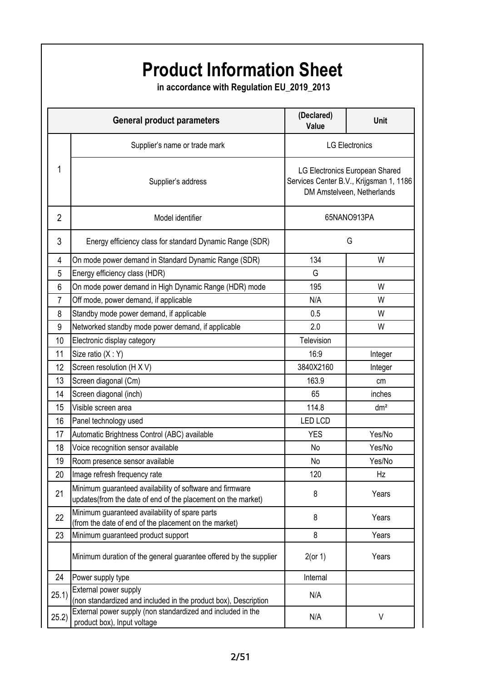## **(Declared) Value Unit** Supplier's name or trade mark Supplier's address 2 Model identifier 3 Energy efficiency class for standard Dynamic Range (SDR) 4 On mode power demand in Standard Dynamic Range (SDR) 134 | W 5 Energy efficiency class (HDR) G 6 On mode power demand in High Dynamic Range (HDR) mode | 195 | W 7 Off mode, power demand, if applicable N/A N/A W 8 Standby mode power demand, if applicable 198 and 198 and 198 and 198 and 198 and 198 and 198 and 198 and 198 and 198 and 198 and 198 and 198 and 198 and 198 and 198 and 198 and 198 and 198 and 198 and 198 and 198 and 198 9 Networked standby mode power demand, if applicable 2.0 2.0 W 10 Electronic display category **Television** Television 11 Size ratio (X : Y) 16:9 Integer 12 Screen resolution (H X V) 3840X2160 Integer 13 Screen diagonal (Cm) and the contract of the contract of the contract of the contract of the contract of the contract of the contract of the contract of the contract of the contract of the contract of the contract of th 14 Screen diagonal (inch) 65 inches 15 Visible screen area 114.8 dm² 16 Panel technology used LED LCD 17 Automatic Brightness Control (ABC) available VES VES Ves/No 18 Voice recognition sensor available No No No Yes/No 19 Room presence sensor available No No No Yes/No 20 Image refresh frequency rate 120 Hz 21 Minimum guaranteed availability of software and firmware updates(from the date of end of the placement on the market) and the same of the Years 22 Minimum guaranteed availability of spare parts Millimum guaranteed availability of spare parts<br>(from the date of end of the placement on the market) 8 8 Metal Prears 23 Minimum guaranteed product support 8 8 Nears Minimum duration of the general guarantee offered by the supplier 2(or 1) Years 24 Power supply type **Internal**  $\overline{25.1)}$  External power supply (non standardized and included in the product box), Description N/A 25.2) External power supply (non standardized and included in the External power supply (non standardized and included in the N/A N/A V<br>product box), Input voltage **General product parameters Product Information Sheet in accordance with Regulation EU\_2019\_2013** 1 LG Electronics LG Electronics European Shared Services Center B.V., Krijgsman 1, 1186 DM Amstelveen, Netherlands 65NANO913PA G